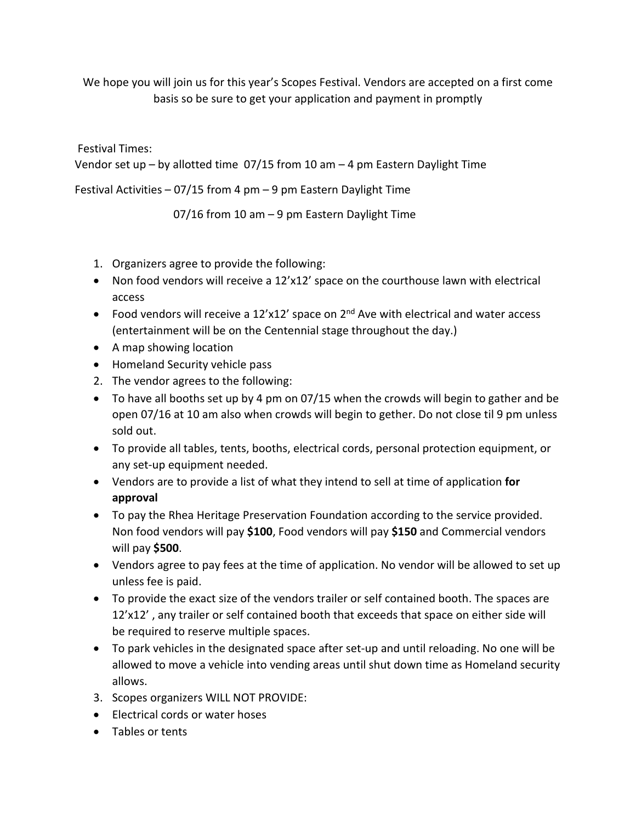We hope you will join us for this year's Scopes Festival. Vendors are accepted on a first come basis so be sure to get your application and payment in promptly

Festival Times:

Vendor set up – by allotted time 07/15 from 10 am – 4 pm Eastern Daylight Time

Festival Activities  $-07/15$  from 4 pm  $-9$  pm Eastern Daylight Time

07/16 from 10 am – 9 pm Eastern Daylight Time

- 1. Organizers agree to provide the following:
- Non food vendors will receive a 12'x12' space on the courthouse lawn with electrical access
- Food vendors will receive a  $12'x12'$  space on  $2<sup>nd</sup>$  Ave with electrical and water access (entertainment will be on the Centennial stage throughout the day.)
- A map showing location
- Homeland Security vehicle pass
- 2. The vendor agrees to the following:
- To have all booths set up by 4 pm on 07/15 when the crowds will begin to gather and be open 07/16 at 10 am also when crowds will begin to gether. Do not close til 9 pm unless sold out.
- To provide all tables, tents, booths, electrical cords, personal protection equipment, or any set-up equipment needed.
- Vendors are to provide a list of what they intend to sell at time of application **for approval**
- To pay the Rhea Heritage Preservation Foundation according to the service provided. Non food vendors will pay **\$100**, Food vendors will pay **\$150** and Commercial vendors will pay **\$500**.
- Vendors agree to pay fees at the time of application. No vendor will be allowed to set up unless fee is paid.
- To provide the exact size of the vendors trailer or self contained booth. The spaces are 12'x12' , any trailer or self contained booth that exceeds that space on either side will be required to reserve multiple spaces.
- To park vehicles in the designated space after set-up and until reloading. No one will be allowed to move a vehicle into vending areas until shut down time as Homeland security allows.
- 3. Scopes organizers WILL NOT PROVIDE:
- Electrical cords or water hoses
- Tables or tents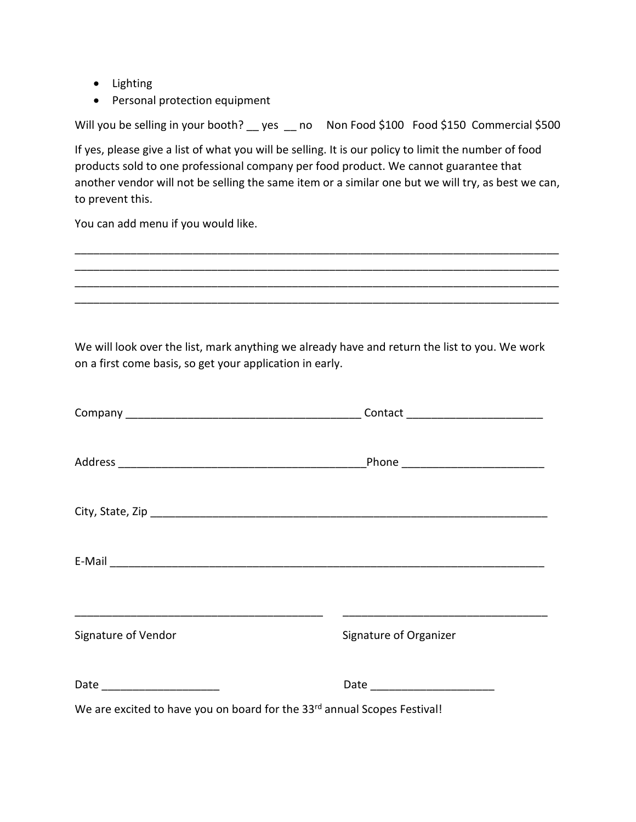- Lighting
- Personal protection equipment

Will you be selling in your booth? \_\_ yes \_\_ no Non Food \$100 Food \$150 Commercial \$500

If yes, please give a list of what you will be selling. It is our policy to limit the number of food products sold to one professional company per food product. We cannot guarantee that another vendor will not be selling the same item or a similar one but we will try, as best we can, to prevent this.

\_\_\_\_\_\_\_\_\_\_\_\_\_\_\_\_\_\_\_\_\_\_\_\_\_\_\_\_\_\_\_\_\_\_\_\_\_\_\_\_\_\_\_\_\_\_\_\_\_\_\_\_\_\_\_\_\_\_\_\_\_\_\_\_\_\_\_\_\_\_\_\_\_\_\_\_\_\_ \_\_\_\_\_\_\_\_\_\_\_\_\_\_\_\_\_\_\_\_\_\_\_\_\_\_\_\_\_\_\_\_\_\_\_\_\_\_\_\_\_\_\_\_\_\_\_\_\_\_\_\_\_\_\_\_\_\_\_\_\_\_\_\_\_\_\_\_\_\_\_\_\_\_\_\_\_\_ \_\_\_\_\_\_\_\_\_\_\_\_\_\_\_\_\_\_\_\_\_\_\_\_\_\_\_\_\_\_\_\_\_\_\_\_\_\_\_\_\_\_\_\_\_\_\_\_\_\_\_\_\_\_\_\_\_\_\_\_\_\_\_\_\_\_\_\_\_\_\_\_\_\_\_\_\_\_ \_\_\_\_\_\_\_\_\_\_\_\_\_\_\_\_\_\_\_\_\_\_\_\_\_\_\_\_\_\_\_\_\_\_\_\_\_\_\_\_\_\_\_\_\_\_\_\_\_\_\_\_\_\_\_\_\_\_\_\_\_\_\_\_\_\_\_\_\_\_\_\_\_\_\_\_\_\_

You can add menu if you would like.

We will look over the list, mark anything we already have and return the list to you. We work on a first come basis, so get your application in early.

| Signature of Vendor                                                      | Signature of Organizer           |
|--------------------------------------------------------------------------|----------------------------------|
| Date ___________________________                                         | Date ___________________________ |
| We are excited to have you on board for the 33rd annual Scopes Festival! |                                  |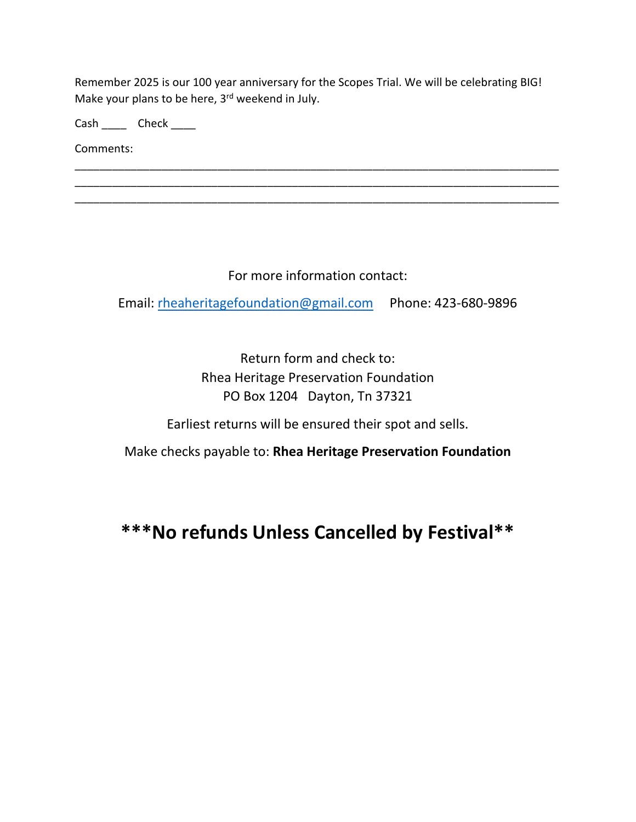Remember 2025 is our 100 year anniversary for the Scopes Trial. We will be celebrating BIG! Make your plans to be here, 3<sup>rd</sup> weekend in July.

\_\_\_\_\_\_\_\_\_\_\_\_\_\_\_\_\_\_\_\_\_\_\_\_\_\_\_\_\_\_\_\_\_\_\_\_\_\_\_\_\_\_\_\_\_\_\_\_\_\_\_\_\_\_\_\_\_\_\_\_\_\_\_\_\_\_\_\_\_\_\_\_\_\_\_\_\_\_ \_\_\_\_\_\_\_\_\_\_\_\_\_\_\_\_\_\_\_\_\_\_\_\_\_\_\_\_\_\_\_\_\_\_\_\_\_\_\_\_\_\_\_\_\_\_\_\_\_\_\_\_\_\_\_\_\_\_\_\_\_\_\_\_\_\_\_\_\_\_\_\_\_\_\_\_\_\_ \_\_\_\_\_\_\_\_\_\_\_\_\_\_\_\_\_\_\_\_\_\_\_\_\_\_\_\_\_\_\_\_\_\_\_\_\_\_\_\_\_\_\_\_\_\_\_\_\_\_\_\_\_\_\_\_\_\_\_\_\_\_\_\_\_\_\_\_\_\_\_\_\_\_\_\_\_\_

Cash \_\_\_\_\_\_ Check \_\_\_\_\_

Comments:

For more information contact:

Email: [rheaheritagefoundation@gmail.com](mailto:rheaheritagefoundation@gmail.com) Phone: 423-680-9896

Return form and check to: Rhea Heritage Preservation Foundation PO Box 1204 Dayton, Tn 37321

Earliest returns will be ensured their spot and sells.

Make checks payable to: **Rhea Heritage Preservation Foundation**

**\*\*\*No refunds Unless Cancelled by Festival\*\***